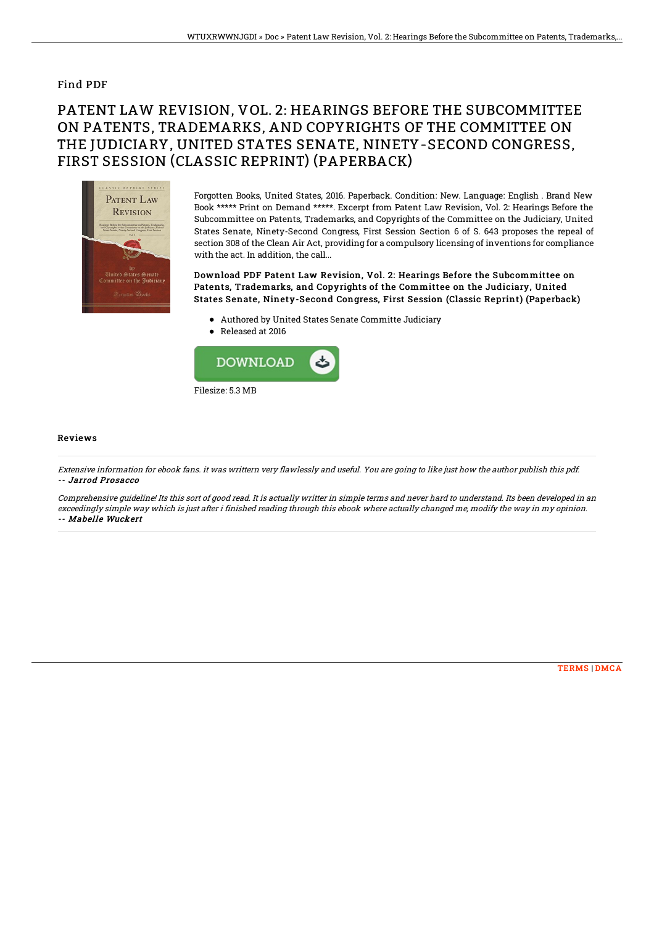## Find PDF

## PATENT LAW REVISION, VOL. 2: HEARINGS BEFORE THE SUBCOMMITTEE ON PATENTS, TRADEMARKS, AND COPYRIGHTS OF THE COMMITTEE ON THE JUDICIARY, UNITED STATES SENATE, NINETY-SECOND CONGRESS, FIRST SESSION (CLASSIC REPRINT) (PAPERBACK)



Forgotten Books, United States, 2016. Paperback. Condition: New. Language: English . Brand New Book \*\*\*\*\* Print on Demand \*\*\*\*\*. Excerpt from Patent Law Revision, Vol. 2: Hearings Before the Subcommittee on Patents, Trademarks, and Copyrights of the Committee on the Judiciary, United States Senate, Ninety-Second Congress, First Session Section 6 of S. 643 proposes the repeal of section 308 of the Clean Air Act, providing for a compulsory licensing of inventions for compliance with the act. In addition, the call...

Download PDF Patent Law Revision, Vol. 2: Hearings Before the Subcommittee on Patents, Trademarks, and Copyrights of the Committee on the Judiciary, United States Senate, Ninety-Second Congress, First Session (Classic Reprint) (Paperback)

- Authored by United States Senate Committe Judiciary
- Released at 2016



## Reviews

Extensive information for ebook fans. it was writtern very flawlessly and useful. You are going to like just how the author publish this pdf. -- Jarrod Prosacco

Comprehensive guideline! Its this sort of good read. It is actually writter in simple terms and never hard to understand. Its been developed in an exceedingly simple way which is just after i finished reading through this ebook where actually changed me, modify the way in my opinion. -- Mabelle Wuckert